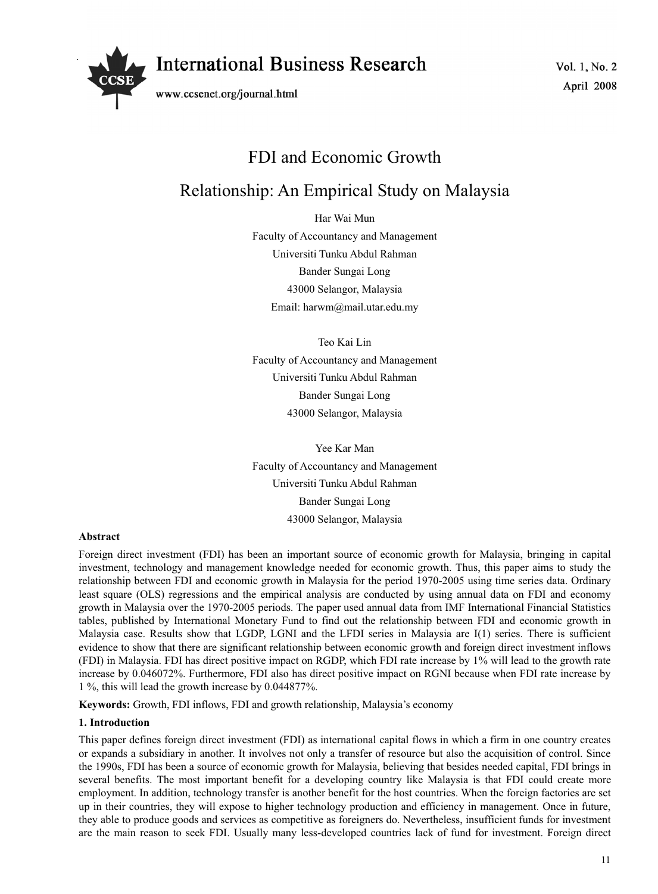

Vol. 1, No. 2 April 2008

# FDI and Economic Growth

# Relationship: An Empirical Study on Malaysia

Har Wai Mun

Faculty of Accountancy and Management Universiti Tunku Abdul Rahman Bander Sungai Long 43000 Selangor, Malaysia Email: harwm@mail.utar.edu.my

Teo Kai Lin Faculty of Accountancy and Management Universiti Tunku Abdul Rahman Bander Sungai Long 43000 Selangor, Malaysia

Yee Kar Man Faculty of Accountancy and Management Universiti Tunku Abdul Rahman Bander Sungai Long 43000 Selangor, Malaysia

## **Abstract**

Foreign direct investment (FDI) has been an important source of economic growth for Malaysia, bringing in capital investment, technology and management knowledge needed for economic growth. Thus, this paper aims to study the relationship between FDI and economic growth in Malaysia for the period 1970-2005 using time series data. Ordinary least square (OLS) regressions and the empirical analysis are conducted by using annual data on FDI and economy growth in Malaysia over the 1970-2005 periods. The paper used annual data from IMF International Financial Statistics tables, published by International Monetary Fund to find out the relationship between FDI and economic growth in Malaysia case. Results show that LGDP, LGNI and the LFDI series in Malaysia are I(1) series. There is sufficient evidence to show that there are significant relationship between economic growth and foreign direct investment inflows (FDI) in Malaysia. FDI has direct positive impact on RGDP, which FDI rate increase by 1% will lead to the growth rate increase by 0.046072%. Furthermore, FDI also has direct positive impact on RGNI because when FDI rate increase by 1 %, this will lead the growth increase by 0.044877%.

**Keywords:** Growth, FDI inflows, FDI and growth relationship, Malaysia's economy

#### **1. Introduction**

This paper defines foreign direct investment (FDI) as international capital flows in which a firm in one country creates or expands a subsidiary in another. It involves not only a transfer of resource but also the acquisition of control. Since the 1990s, FDI has been a source of economic growth for Malaysia, believing that besides needed capital, FDI brings in several benefits. The most important benefit for a developing country like Malaysia is that FDI could create more employment. In addition, technology transfer is another benefit for the host countries. When the foreign factories are set up in their countries, they will expose to higher technology production and efficiency in management. Once in future, they able to produce goods and services as competitive as foreigners do. Nevertheless, insufficient funds for investment are the main reason to seek FDI. Usually many less-developed countries lack of fund for investment. Foreign direct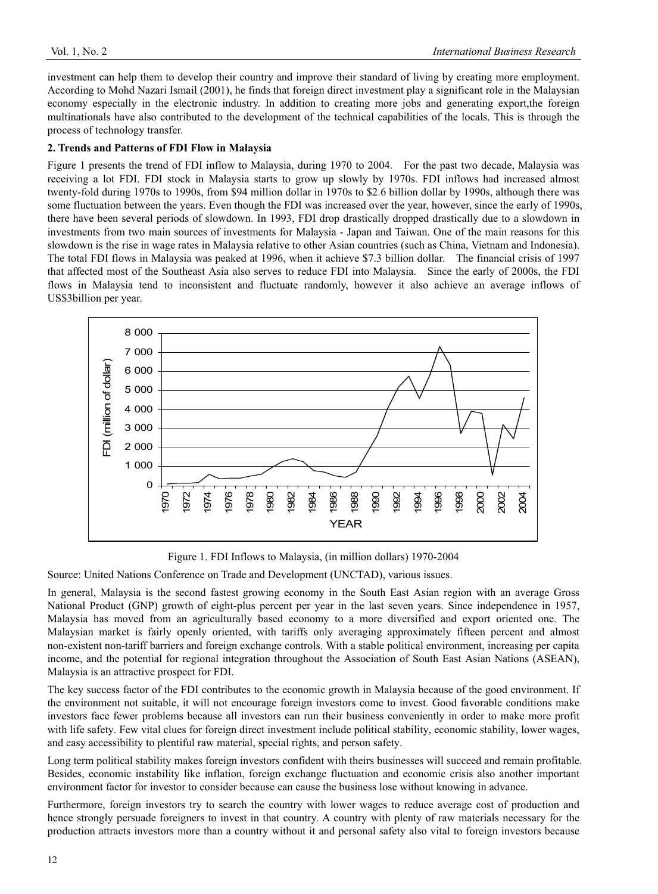investment can help them to develop their country and improve their standard of living by creating more employment. According to Mohd Nazari Ismail (2001), he finds that foreign direct investment play a significant role in the Malaysian economy especially in the electronic industry. In addition to creating more jobs and generating export,the foreign multinationals have also contributed to the development of the technical capabilities of the locals. This is through the process of technology transfer.

# **2. Trends and Patterns of FDI Flow in Malaysia**

Figure 1 presents the trend of FDI inflow to Malaysia, during 1970 to 2004. For the past two decade, Malaysia was receiving a lot FDI. FDI stock in Malaysia starts to grow up slowly by 1970s. FDI inflows had increased almost twenty-fold during 1970s to 1990s, from \$94 million dollar in 1970s to \$2.6 billion dollar by 1990s, although there was some fluctuation between the years. Even though the FDI was increased over the year, however, since the early of 1990s, there have been several periods of slowdown. In 1993, FDI drop drastically dropped drastically due to a slowdown in investments from two main sources of investments for Malaysia - Japan and Taiwan. One of the main reasons for this slowdown is the rise in wage rates in Malaysia relative to other Asian countries (such as China, Vietnam and Indonesia). The total FDI flows in Malaysia was peaked at 1996, when it achieve \$7.3 billion dollar. The financial crisis of 1997 that affected most of the Southeast Asia also serves to reduce FDI into Malaysia. Since the early of 2000s, the FDI flows in Malaysia tend to inconsistent and fluctuate randomly, however it also achieve an average inflows of US\$3billion per year.



Figure 1. FDI Inflows to Malaysia, (in million dollars) 1970-2004

Source: United Nations Conference on Trade and Development (UNCTAD), various issues.

In general, Malaysia is the second fastest growing economy in the South East Asian region with an average Gross National Product (GNP) growth of eight-plus percent per year in the last seven years. Since independence in 1957, Malaysia has moved from an agriculturally based economy to a more diversified and export oriented one. The Malaysian market is fairly openly oriented, with tariffs only averaging approximately fifteen percent and almost non-existent non-tariff barriers and foreign exchange controls. With a stable political environment, increasing per capita income, and the potential for regional integration throughout the Association of South East Asian Nations (ASEAN), Malaysia is an attractive prospect for FDI.

The key success factor of the FDI contributes to the economic growth in Malaysia because of the good environment. If the environment not suitable, it will not encourage foreign investors come to invest. Good favorable conditions make investors face fewer problems because all investors can run their business conveniently in order to make more profit with life safety. Few vital clues for foreign direct investment include political stability, economic stability, lower wages, and easy accessibility to plentiful raw material, special rights, and person safety.

Long term political stability makes foreign investors confident with theirs businesses will succeed and remain profitable. Besides, economic instability like inflation, foreign exchange fluctuation and economic crisis also another important environment factor for investor to consider because can cause the business lose without knowing in advance.

Furthermore, foreign investors try to search the country with lower wages to reduce average cost of production and hence strongly persuade foreigners to invest in that country. A country with plenty of raw materials necessary for the production attracts investors more than a country without it and personal safety also vital to foreign investors because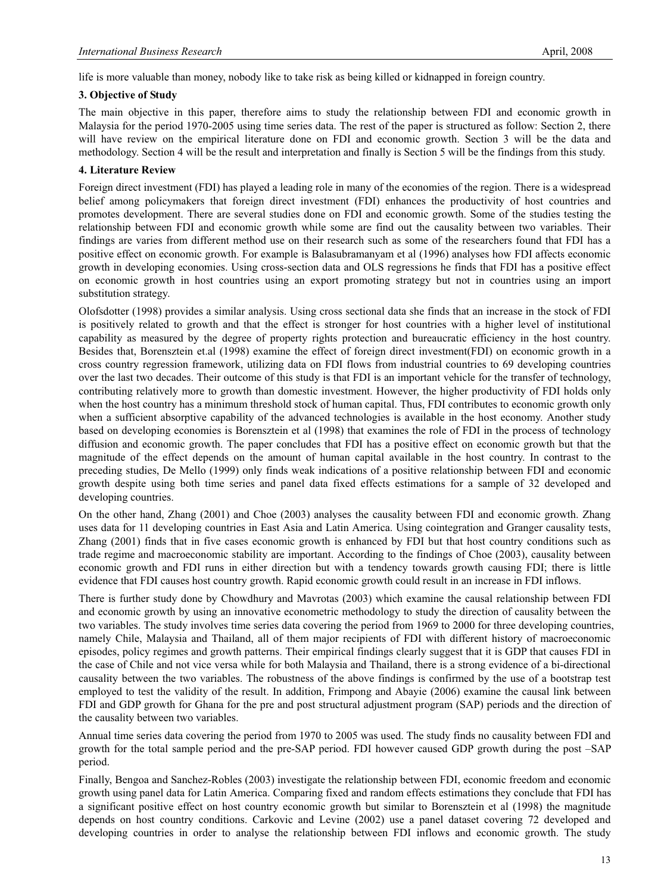life is more valuable than money, nobody like to take risk as being killed or kidnapped in foreign country.

# **3. Objective of Study**

The main objective in this paper, therefore aims to study the relationship between FDI and economic growth in Malaysia for the period 1970-2005 using time series data. The rest of the paper is structured as follow: Section 2, there will have review on the empirical literature done on FDI and economic growth. Section 3 will be the data and methodology. Section 4 will be the result and interpretation and finally is Section 5 will be the findings from this study.

# **4. Literature Review**

Foreign direct investment (FDI) has played a leading role in many of the economies of the region. There is a widespread belief among policymakers that foreign direct investment (FDI) enhances the productivity of host countries and promotes development. There are several studies done on FDI and economic growth. Some of the studies testing the relationship between FDI and economic growth while some are find out the causality between two variables. Their findings are varies from different method use on their research such as some of the researchers found that FDI has a positive effect on economic growth. For example is Balasubramanyam et al (1996) analyses how FDI affects economic growth in developing economies. Using cross-section data and OLS regressions he finds that FDI has a positive effect on economic growth in host countries using an export promoting strategy but not in countries using an import substitution strategy.

Olofsdotter (1998) provides a similar analysis. Using cross sectional data she finds that an increase in the stock of FDI is positively related to growth and that the effect is stronger for host countries with a higher level of institutional capability as measured by the degree of property rights protection and bureaucratic efficiency in the host country. Besides that, Borensztein et.al (1998) examine the effect of foreign direct investment(FDI) on economic growth in a cross country regression framework, utilizing data on FDI flows from industrial countries to 69 developing countries over the last two decades. Their outcome of this study is that FDI is an important vehicle for the transfer of technology, contributing relatively more to growth than domestic investment. However, the higher productivity of FDI holds only when the host country has a minimum threshold stock of human capital. Thus, FDI contributes to economic growth only when a sufficient absorptive capability of the advanced technologies is available in the host economy. Another study based on developing economies is Borensztein et al (1998) that examines the role of FDI in the process of technology diffusion and economic growth. The paper concludes that FDI has a positive effect on economic growth but that the magnitude of the effect depends on the amount of human capital available in the host country. In contrast to the preceding studies, De Mello (1999) only finds weak indications of a positive relationship between FDI and economic growth despite using both time series and panel data fixed effects estimations for a sample of 32 developed and developing countries.

On the other hand, Zhang (2001) and Choe (2003) analyses the causality between FDI and economic growth. Zhang uses data for 11 developing countries in East Asia and Latin America. Using cointegration and Granger causality tests, Zhang (2001) finds that in five cases economic growth is enhanced by FDI but that host country conditions such as trade regime and macroeconomic stability are important. According to the findings of Choe (2003), causality between economic growth and FDI runs in either direction but with a tendency towards growth causing FDI; there is little evidence that FDI causes host country growth. Rapid economic growth could result in an increase in FDI inflows.

There is further study done by Chowdhury and Mavrotas (2003) which examine the causal relationship between FDI and economic growth by using an innovative econometric methodology to study the direction of causality between the two variables. The study involves time series data covering the period from 1969 to 2000 for three developing countries, namely Chile, Malaysia and Thailand, all of them major recipients of FDI with different history of macroeconomic episodes, policy regimes and growth patterns. Their empirical findings clearly suggest that it is GDP that causes FDI in the case of Chile and not vice versa while for both Malaysia and Thailand, there is a strong evidence of a bi-directional causality between the two variables. The robustness of the above findings is confirmed by the use of a bootstrap test employed to test the validity of the result. In addition, Frimpong and Abayie (2006) examine the causal link between FDI and GDP growth for Ghana for the pre and post structural adjustment program (SAP) periods and the direction of the causality between two variables.

Annual time series data covering the period from 1970 to 2005 was used. The study finds no causality between FDI and growth for the total sample period and the pre-SAP period. FDI however caused GDP growth during the post –SAP period.

Finally, Bengoa and Sanchez-Robles (2003) investigate the relationship between FDI, economic freedom and economic growth using panel data for Latin America. Comparing fixed and random effects estimations they conclude that FDI has a significant positive effect on host country economic growth but similar to Borensztein et al (1998) the magnitude depends on host country conditions. Carkovic and Levine (2002) use a panel dataset covering 72 developed and developing countries in order to analyse the relationship between FDI inflows and economic growth. The study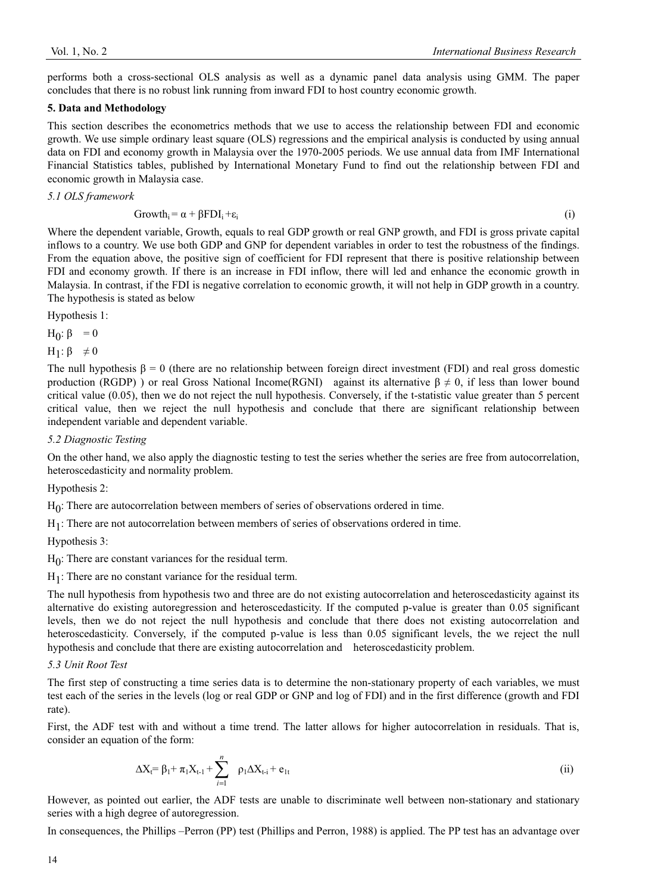performs both a cross-sectional OLS analysis as well as a dynamic panel data analysis using GMM. The paper concludes that there is no robust link running from inward FDI to host country economic growth.

#### **5. Data and Methodology**

This section describes the econometrics methods that we use to access the relationship between FDI and economic growth. We use simple ordinary least square (OLS) regressions and the empirical analysis is conducted by using annual data on FDI and economy growth in Malaysia over the 1970-2005 periods. We use annual data from IMF International Financial Statistics tables, published by International Monetary Fund to find out the relationship between FDI and economic growth in Malaysia case.

*5.1 OLS framework* 

$$
Growth_i = \alpha + \beta FDI_i + \varepsilon_i \tag{i}
$$

Where the dependent variable, Growth, equals to real GDP growth or real GNP growth, and FDI is gross private capital inflows to a country. We use both GDP and GNP for dependent variables in order to test the robustness of the findings. From the equation above, the positive sign of coefficient for FDI represent that there is positive relationship between FDI and economy growth. If there is an increase in FDI inflow, there will led and enhance the economic growth in Malaysia. In contrast, if the FDI is negative correlation to economic growth, it will not help in GDP growth in a country. The hypothesis is stated as below

Hypothesis 1:

 $H_0$ :  $\beta = 0$ 

 $H_1: \beta \neq 0$ 

The null hypothesis  $\beta = 0$  (there are no relationship between foreign direct investment (FDI) and real gross domestic production (RGDP) ) or real Gross National Income(RGNI) against its alternative  $\beta \neq 0$ , if less than lower bound critical value (0.05), then we do not reject the null hypothesis. Conversely, if the t-statistic value greater than 5 percent critical value, then we reject the null hypothesis and conclude that there are significant relationship between independent variable and dependent variable.

### *5.2 Diagnostic Testing*

On the other hand, we also apply the diagnostic testing to test the series whether the series are free from autocorrelation, heteroscedasticity and normality problem.

Hypothesis 2:

 $H<sub>0</sub>$ : There are autocorrelation between members of series of observations ordered in time.

H1: There are not autocorrelation between members of series of observations ordered in time.

Hypothesis 3:

 $H_0$ : There are constant variances for the residual term.

 $H_1$ : There are no constant variance for the residual term.

The null hypothesis from hypothesis two and three are do not existing autocorrelation and heteroscedasticity against its alternative do existing autoregression and heteroscedasticity. If the computed p-value is greater than 0.05 significant levels, then we do not reject the null hypothesis and conclude that there does not existing autocorrelation and heteroscedasticity. Conversely, if the computed p-value is less than 0.05 significant levels, the we reject the null hypothesis and conclude that there are existing autocorrelation and heteroscedasticity problem.

#### *5.3 Unit Root Test*

The first step of constructing a time series data is to determine the non-stationary property of each variables, we must test each of the series in the levels (log or real GDP or GNP and log of FDI) and in the first difference (growth and FDI rate).

First, the ADF test with and without a time trend. The latter allows for higher autocorrelation in residuals. That is, consider an equation of the form:

$$
\Delta X_t = \beta_1 + \pi_1 X_{t-1} + \sum_{i=1}^n \rho_1 \Delta X_{t-i} + e_{1t}
$$
 (ii)

However, as pointed out earlier, the ADF tests are unable to discriminate well between non-stationary and stationary series with a high degree of autoregression.

In consequences, the Phillips –Perron (PP) test (Phillips and Perron, 1988) is applied. The PP test has an advantage over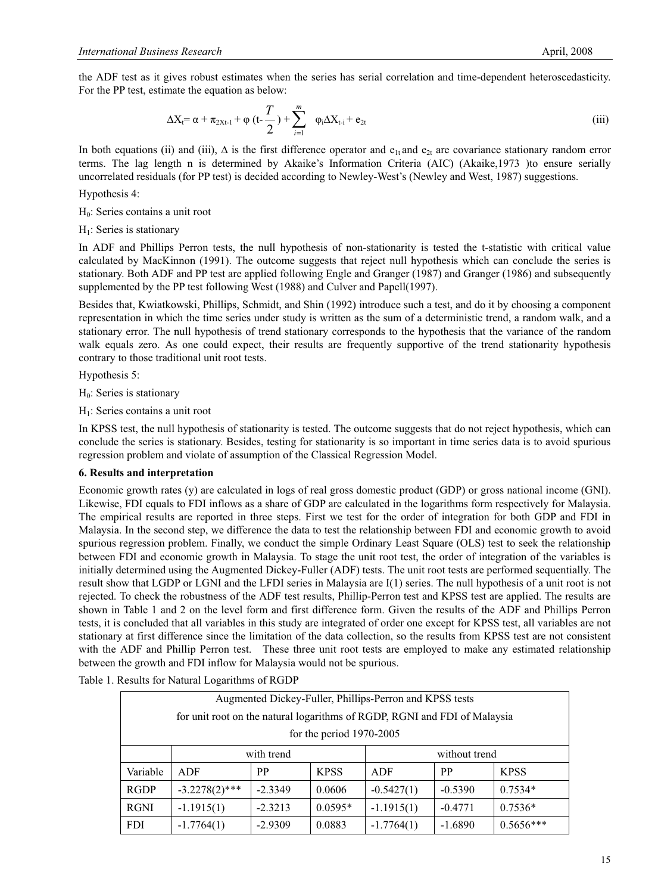the ADF test as it gives robust estimates when the series has serial correlation and time-dependent heteroscedasticity. For the PP test, estimate the equation as below:

$$
\Delta X_t = \alpha + \pi_{2Xt-1} + \varphi \left( t - \frac{T}{2} \right) + \sum_{i=1}^m \varphi_i \Delta X_{t-i} + e_{2t}
$$
 (iii)

In both equations (ii) and (iii),  $\Delta$  is the first difference operator and  $e_{1t}$  and  $e_{2t}$  are covariance stationary random error terms. The lag length n is determined by Akaike's Information Criteria (AIC) (Akaike,1973 )to ensure serially uncorrelated residuals (for PP test) is decided according to Newley-West's (Newley and West, 1987) suggestions.

#### Hypothesis 4:

 $H<sub>0</sub>$ : Series contains a unit root

#### $H<sub>1</sub>$ : Series is stationary

In ADF and Phillips Perron tests, the null hypothesis of non-stationarity is tested the t-statistic with critical value calculated by MacKinnon (1991). The outcome suggests that reject null hypothesis which can conclude the series is stationary. Both ADF and PP test are applied following Engle and Granger (1987) and Granger (1986) and subsequently supplemented by the PP test following West (1988) and Culver and Papell(1997).

Besides that, Kwiatkowski, Phillips, Schmidt, and Shin (1992) introduce such a test, and do it by choosing a component representation in which the time series under study is written as the sum of a deterministic trend, a random walk, and a stationary error. The null hypothesis of trend stationary corresponds to the hypothesis that the variance of the random walk equals zero. As one could expect, their results are frequently supportive of the trend stationarity hypothesis contrary to those traditional unit root tests.

Hypothesis 5:

 $H<sub>0</sub>$ : Series is stationary

 $H<sub>1</sub>$ : Series contains a unit root

In KPSS test, the null hypothesis of stationarity is tested. The outcome suggests that do not reject hypothesis, which can conclude the series is stationary. Besides, testing for stationarity is so important in time series data is to avoid spurious regression problem and violate of assumption of the Classical Regression Model.

#### **6. Results and interpretation**

Economic growth rates (y) are calculated in logs of real gross domestic product (GDP) or gross national income (GNI). Likewise, FDI equals to FDI inflows as a share of GDP are calculated in the logarithms form respectively for Malaysia. The empirical results are reported in three steps. First we test for the order of integration for both GDP and FDI in Malaysia. In the second step, we difference the data to test the relationship between FDI and economic growth to avoid spurious regression problem. Finally, we conduct the simple Ordinary Least Square (OLS) test to seek the relationship between FDI and economic growth in Malaysia. To stage the unit root test, the order of integration of the variables is initially determined using the Augmented Dickey-Fuller (ADF) tests. The unit root tests are performed sequentially. The result show that LGDP or LGNI and the LFDI series in Malaysia are I(1) series. The null hypothesis of a unit root is not rejected. To check the robustness of the ADF test results, Phillip-Perron test and KPSS test are applied. The results are shown in Table 1 and 2 on the level form and first difference form. Given the results of the ADF and Phillips Perron tests, it is concluded that all variables in this study are integrated of order one except for KPSS test, all variables are not stationary at first difference since the limitation of the data collection, so the results from KPSS test are not consistent with the ADF and Phillip Perron test. These three unit root tests are employed to make any estimated relationship between the growth and FDI inflow for Malaysia would not be spurious.

Table 1. Results for Natural Logarithms of RGDP

| Augmented Dickey-Fuller, Phillips-Perron and KPSS tests                   |                  |           |               |              |           |             |
|---------------------------------------------------------------------------|------------------|-----------|---------------|--------------|-----------|-------------|
| for unit root on the natural logarithms of RGDP, RGNI and FDI of Malaysia |                  |           |               |              |           |             |
| for the period $1970-2005$                                                |                  |           |               |              |           |             |
|                                                                           | with trend       |           | without trend |              |           |             |
| Variable                                                                  | ADF              | PP        | <b>KPSS</b>   | ADF          | <b>PP</b> | <b>KPSS</b> |
| <b>RGDP</b>                                                               | $-3.2278(2)$ *** | $-2.3349$ | 0.0606        | $-0.5427(1)$ | $-0.5390$ | $0.7534*$   |
| <b>RGNI</b>                                                               | $-1.1915(1)$     | $-2.3213$ | $0.0595*$     | $-1.1915(1)$ | $-0.4771$ | $0.7536*$   |
| <b>FDI</b>                                                                | $-1.7764(1)$     | $-2.9309$ | 0.0883        | $-1.7764(1)$ | $-1.6890$ | $0.5656***$ |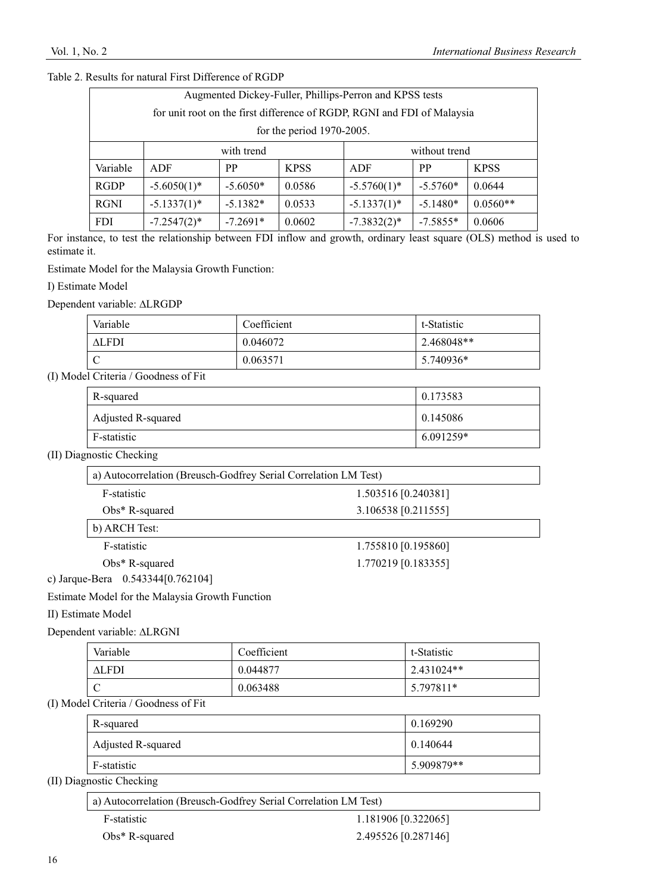### Table 2. Results for natural First Difference of RGDP

| Augmented Dickey-Fuller, Phillips-Perron and KPSS tests                 |                  |            |             |                |            |             |
|-------------------------------------------------------------------------|------------------|------------|-------------|----------------|------------|-------------|
| for unit root on the first difference of RGDP, RGNI and FDI of Malaysia |                  |            |             |                |            |             |
| for the period $1970-2005$ .                                            |                  |            |             |                |            |             |
|                                                                         |                  | with trend |             | without trend  |            |             |
| Variable                                                                | ADF              | PP         | <b>KPSS</b> | ADF            | <b>PP</b>  | <b>KPSS</b> |
| <b>RGDP</b>                                                             | $-5.6050(1)^*$   | $-5.6050*$ | 0.0586      | $-5.5760(1)$ * | $-5.5760*$ | 0.0644      |
| <b>RGNI</b>                                                             | $-5.1337(1)^{*}$ | $-5.1382*$ | 0.0533      | $-5.1337(1)$ * | $-5.1480*$ | $0.0560**$  |
| <b>FDI</b>                                                              | $-7.2547(2)^*$   | $-7.2691*$ | 0.0602      | $-7.3832(2)^*$ | $-7.5855*$ | 0.0606      |

For instance, to test the relationship between FDI inflow and growth, ordinary least square (OLS) method is used to estimate it.

Estimate Model for the Malaysia Growth Function:

I) Estimate Model

Dependent variable:  $\Delta LRGDP$ 

| Variable | Coefficient | t-Statistic |
|----------|-------------|-------------|
| ALFDI    | 0.046072    | 2.468048**  |
|          | 0.063571    | 5.740936*   |

(I) Model Criteria / Goodness of Fit

| R-squared          | $\frac{1}{2}$ 0.173583 |
|--------------------|------------------------|
| Adjusted R-squared | 0.145086               |
| F-statistic        | 6.091259*              |

(II) Diagnostic Checking

| a) Autocorrelation (Breusch-Godfrey Serial Correlation LM Test) |                     |  |
|-----------------------------------------------------------------|---------------------|--|
| F-statistic                                                     | 1.503516 [0.240381] |  |
| $Obs*$ R-squared                                                | 3.106538 [0.211555] |  |
| b) ARCH Test:                                                   |                     |  |
| F-statistic                                                     | 1.755810 [0.195860] |  |
| $Obs^*$ R-squared                                               | 1.770219 [0.183355] |  |
| o) Iorque Pere $0.543344507621041$                              |                     |  |

c) Jarque-Bera 0.543344[0.762104]

Estimate Model for the Malaysia Growth Function

II) Estimate Model

Dependent variable:  $\triangle$ LRGNI

| Variable |       | Coefficient | t-Statistic  |  |
|----------|-------|-------------|--------------|--|
|          | ALFDI | 0.044877    | $2.431024**$ |  |
|          | ◡     | 0.063488    | 5.797811*    |  |

(I) Model Criteria / Goodness of Fit

| R-squared          | 0.169290   |
|--------------------|------------|
| Adjusted R-squared | 0.140644   |
| F-statistic        | 5.909879** |

(II) Diagnostic Checking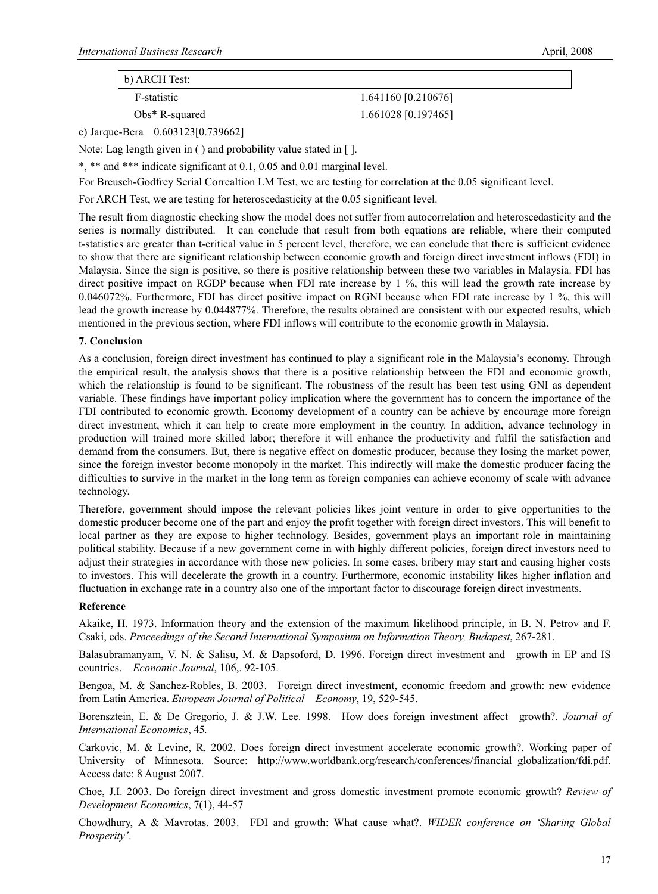b) ARCH Test:

F-statistic 1.641160 [0.210676] Obs\* R-squared 1.661028 [0.197465]

c) Jarque-Bera 0.603123[0.739662]

Note: Lag length given in ( ) and probability value stated in [ ].

\*, \*\* and \*\*\* indicate significant at 0.1, 0.05 and 0.01 marginal level.

For Breusch-Godfrey Serial Correaltion LM Test, we are testing for correlation at the 0.05 significant level.

For ARCH Test, we are testing for heteroscedasticity at the 0.05 significant level.

The result from diagnostic checking show the model does not suffer from autocorrelation and heteroscedasticity and the series is normally distributed. It can conclude that result from both equations are reliable, where their computed t-statistics are greater than t-critical value in 5 percent level, therefore, we can conclude that there is sufficient evidence to show that there are significant relationship between economic growth and foreign direct investment inflows (FDI) in Malaysia. Since the sign is positive, so there is positive relationship between these two variables in Malaysia. FDI has direct positive impact on RGDP because when FDI rate increase by 1 %, this will lead the growth rate increase by 0.046072%. Furthermore, FDI has direct positive impact on RGNI because when FDI rate increase by 1 %, this will lead the growth increase by 0.044877%. Therefore, the results obtained are consistent with our expected results, which mentioned in the previous section, where FDI inflows will contribute to the economic growth in Malaysia.

### **7. Conclusion**

As a conclusion, foreign direct investment has continued to play a significant role in the Malaysia's economy. Through the empirical result, the analysis shows that there is a positive relationship between the FDI and economic growth, which the relationship is found to be significant. The robustness of the result has been test using GNI as dependent variable. These findings have important policy implication where the government has to concern the importance of the FDI contributed to economic growth. Economy development of a country can be achieve by encourage more foreign direct investment, which it can help to create more employment in the country. In addition, advance technology in production will trained more skilled labor; therefore it will enhance the productivity and fulfil the satisfaction and demand from the consumers. But, there is negative effect on domestic producer, because they losing the market power, since the foreign investor become monopoly in the market. This indirectly will make the domestic producer facing the difficulties to survive in the market in the long term as foreign companies can achieve economy of scale with advance technology.

Therefore, government should impose the relevant policies likes joint venture in order to give opportunities to the domestic producer become one of the part and enjoy the profit together with foreign direct investors. This will benefit to local partner as they are expose to higher technology. Besides, government plays an important role in maintaining political stability. Because if a new government come in with highly different policies, foreign direct investors need to adjust their strategies in accordance with those new policies. In some cases, bribery may start and causing higher costs to investors. This will decelerate the growth in a country. Furthermore, economic instability likes higher inflation and fluctuation in exchange rate in a country also one of the important factor to discourage foreign direct investments.

#### **Reference**

Akaike, H. 1973. Information theory and the extension of the maximum likelihood principle, in B. N. Petrov and F. Csaki, eds. *Proceedings of the Second International Symposium on Information Theory, Budapest*, 267-281.

Balasubramanyam, V. N. & Salisu, M. & Dapsoford, D. 1996. Foreign direct investment and growth in EP and IS countries. *Economic Journal*, 106,. 92-105.

Bengoa, M. & Sanchez-Robles, B. 2003. Foreign direct investment, economic freedom and growth: new evidence from Latin America. *European Journal of Political Economy*, 19, 529-545.

Borensztein, E. & De Gregorio, J. & J.W. Lee. 1998. How does foreign investment affect growth?. *Journal of International Economics*, 45*.*

Carkovic, M. & Levine, R. 2002. Does foreign direct investment accelerate economic growth?. Working paper of University of Minnesota. Source: http://www.worldbank.org/research/conferences/financial\_globalization/fdi.pdf. Access date: 8 August 2007.

Choe, J.I. 2003. Do foreign direct investment and gross domestic investment promote economic growth? *Review of Development Economics*, 7(1), 44-57

Chowdhury, A & Mavrotas. 2003. FDI and growth: What cause what?. *WIDER conference on 'Sharing Global Prosperity'*.